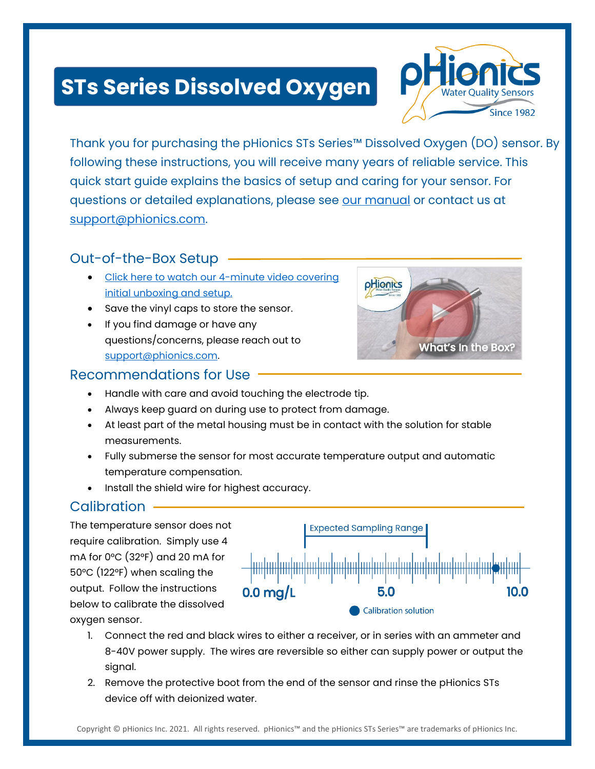# **STs Series Dissolved Oxygen**



Thank you for purchasing the pHionics STs Series™ Dissolved Oxygen (DO) sensor. By following these instructions, you will receive many years of reliable service. This quick start guide explains the basics of setup and caring for your sensor. For questions or detailed explanations, please see [our manual](https://www.phionics.com/wp-content/uploads/2020/08/pHionics-STs-Series-Device-Manual-1.pdf) or contact us at [support@phionics.com.](mailto:support@phionics.com)

## Out-of-the-Box Setup -

- Click here to watch [our 4-minute video covering](https://youtu.be/P3kdRBzgJk0)  [initial unboxing and setup.](https://youtu.be/P3kdRBzgJk0)
- Save the vinyl caps to store the sensor.
- If you find damage or have any questions/concerns, please reach out to [support@phionics.com.](mailto:support@phionics.com)



## Recommendations for Use

- Handle with care and avoid touching the electrode tip.
- Always keep guard on during use to protect from damage.
- At least part of the metal housing must be in contact with the solution for stable measurements.
- Fully submerse the sensor for most accurate temperature output and automatic temperature compensation.
- Install the shield wire for highest accuracy.

## **Calibration**

The temperature sensor does not require calibration. Simply use 4 mA for 0°C (32°F) and 20 mA for 50°C (122°F) when scaling the output. Follow the instructions below to calibrate the dissolved oxygen sensor.



- 1. Connect the red and black wires to either a receiver, or in series with an ammeter and 8-40V power supply. The wires are reversible so either can supply power or output the signal.
- 2. Remove the protective boot from the end of the sensor and rinse the pHionics STs device off with deionized water.

Copyright © pHionics Inc. 2021. All rights reserved. pHionics™ and the pHionics STs Series™ are trademarks of pHionics Inc.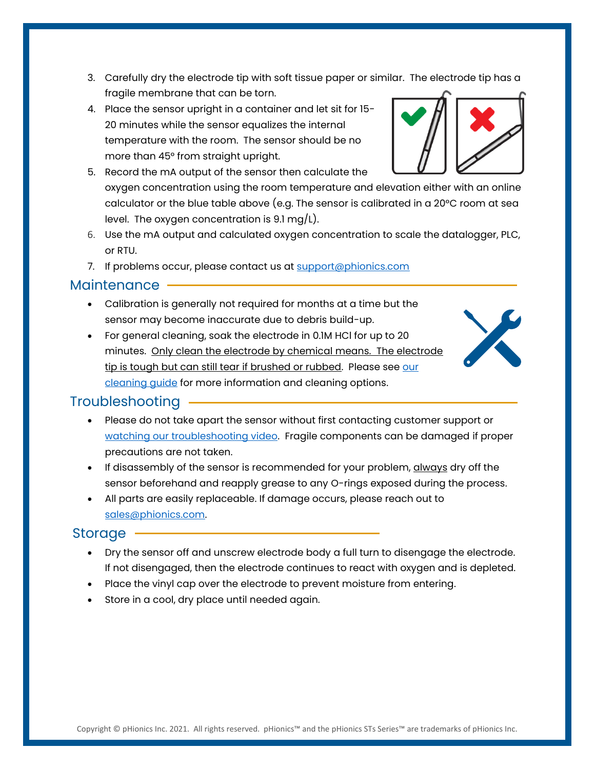- 3. Carefully dry the electrode tip with soft tissue paper or similar. The electrode tip has a fragile membrane that can be torn.
- 4. Place the sensor upright in a container and let sit for 15- 20 minutes while the sensor equalizes the internal temperature with the room. The sensor should be no more than 45° from straight upright.



- 6. Use the mA output and calculated oxygen concentration to scale the datalogger, PLC, or RTU.
- 7. If problems occur, please contact us at [support@phionics.com](mailto:support@phionics.com)

#### Maintenance

- Calibration is generally not required for months at a time but the sensor may become inaccurate due to debris build-up.
- For general cleaning, soak the electrode in 0.1M HCl for up to 20 minutes. Only clean the electrode by chemical means. The electrode tip is tough but can still tear if brushed or rubbed. Please see our [cleaning guide](https://www.phionics.com/resources/ph-and-dissolved-oxygen-care-and-troubleshooting/) for more information and cleaning options.



## Troubleshooting

- Please do not take apart the sensor without first contacting customer support or [watching our troubleshooting video.](https://youtu.be/5dU1FrMmdc0) Fragile components can be damaged if proper precautions are not taken.
- If disassembly of the sensor is recommended for your problem, *always* dry off the sensor beforehand and reapply grease to any O-rings exposed during the process.
- All parts are easily replaceable. If damage occurs, please reach out to [sales@phionics.com.](mailto:sales@phionics.com)

#### Storage

- Dry the sensor off and unscrew electrode body a full turn to disengage the electrode. If not disengaged, then the electrode continues to react with oxygen and is depleted.
- Place the vinyl cap over the electrode to prevent moisture from entering.
- Store in a cool, dry place until needed again.